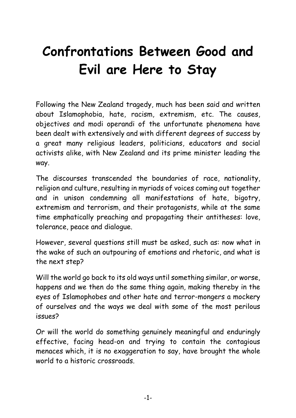# **Confrontations Between Good and Evil are Here to Stay**

Following the New Zealand tragedy, much has been said and written about Islamophobia, hate, racism, extremism, etc. The causes, objectives and modi operandi of the unfortunate phenomena have been dealt with extensively and with different degrees of success by a great many religious leaders, politicians, educators and social activists alike, with New Zealand and its prime minister leading the way.

The discourses transcended the boundaries of race, nationality, religion and culture, resulting in myriads of voices coming out together and in unison condemning all manifestations of hate, bigotry, extremism and terrorism, and their protagonists, while at the same time emphatically preaching and propagating their antitheses: love, tolerance, peace and dialogue.

However, several questions still must be asked, such as: now what in the wake of such an outpouring of emotions and rhetoric, and what is the next step?

Will the world go back to its old ways until something similar, or worse, happens and we then do the same thing again, making thereby in the eyes of Islamophobes and other hate and terror-mongers a mockery of ourselves and the ways we deal with some of the most perilous issues?

Or will the world do something genuinely meaningful and enduringly effective, facing head-on and trying to contain the contagious menaces which, it is no exaggeration to say, have brought the whole world to a historic crossroads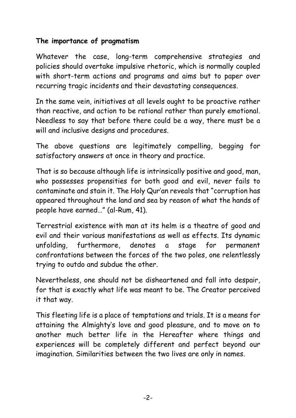## **The importance of pragmatism**

Whatever the case, long-term comprehensive strategies and policies should overtake impulsive rhetoric, which is normally coupled with short-term actions and programs and aims but to paper over recurring tragic incidents and their devastating consequences.

In the same vein, initiatives at all levels ought to be proactive rather than reactive, and action to be rational rather than purely emotional. Needless to say that before there could be a way, there must be a will and inclusive designs and procedures.

The above questions are legitimately compelling, begging for satisfactory answers at once in theory and practice.

That is so because although life is intrinsically positive and good, man, who possesses propensities for both good and evil, never fails to contaminate and stain it. The Holy Qur'an reveals that "corruption has appeared throughout the land and sea by reason of what the hands of people have earned…" (al-Rum, 41).

Terrestrial existence with man at its helm is a theatre of good and evil and their various manifestations as well as effects. Its dynamic unfolding, furthermore, denotes a stage for permanent confrontations between the forces of the two poles, one relentlessly trying to outdo and subdue the other.

Nevertheless, one should not be disheartened and fall into despair, for that is exactly what life was meant to be. The Creator perceived it that way.

This fleeting life is a place of temptations and trials. It is a means for attaining the Almighty's love and good pleasure, and to move on to another much better life in the Hereafter where things and experiences will be completely different and perfect beyond our imagination. Similarities between the two lives are only in names.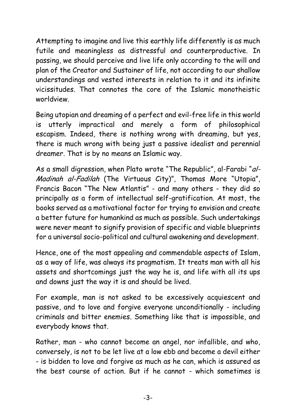Attempting to imagine and live this earthly life differently is as much futile and meaningless as distressful and counterproductive. In passing, we should perceive and live life only according to the will and plan of the Creator and Sustainer of life, not according to our shallow understandings and vested interests in relation to it and its infinite vicissitudes. That connotes the core of the Islamic monotheistic worldview.

Being utopian and dreaming of a perfect and evil-free life in this world is utterly impractical and merely a form of philosophical escapism. Indeed, there is nothing wrong with dreaming, but yes, there is much wrong with being just a passive idealist and perennial dreamer. That is by no means an Islamic way.

As a small digression, when Plato wrote "The Republic", al-Farabi "al-Madinah al-Fadilah (The Virtuous City)", Thomas More "Utopia", Francis Bacon "The New Atlantis" - and many others - they did so principally as a form of intellectual self-gratification. At most, the books served as a motivational factor for trying to envision and create a better future for humankind as much as possible. Such undertakings were never meant to signify provision of specific and viable blueprints for a universal socio-political and cultural awakening and development.

Hence, one of the most appealing and commendable aspects of Islam, as a way of life, was always its pragmatism. It treats man with all his assets and shortcomings just the way he is, and life with all its ups and downs just the way it is and should be lived.

For example, man is not asked to be excessively acquiescent and passive, and to love and forgive everyone unconditionally - including criminals and bitter enemies. Something like that is impossible, and everybody knows that.

Rather, man - who cannot become an angel, nor infallible, and who, conversely, is not to be let live at a low ebb and become a devil either - is bidden to love and forgive as much as he can, which is assured as the best course of action. But if he cannot - which sometimes is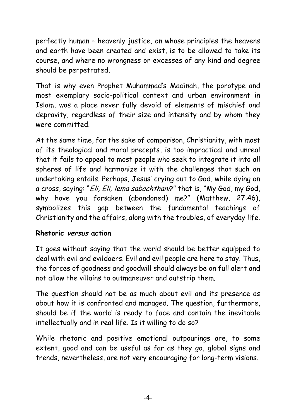perfectly human – heavenly justice, on whose principles the heavens and earth have been created and exist, is to be allowed to take its course, and where no wrongness or excesses of any kind and degree should be perpetrated.

That is why even Prophet Muhammad's Madinah, the porotype and most exemplary socio-political context and urban environment in Islam, was a place never fully devoid of elements of mischief and depravity, regardless of their size and intensity and by whom they were committed.

At the same time, for the sake of comparison, Christianity, with most of its theological and moral precepts, is too impractical and unreal that it fails to appeal to most people who seek to integrate it into all spheres of life and harmonize it with the challenges that such an undertaking entails. Perhaps, Jesus' crying out to God, while dying on a cross, saying: "*Eli, Eli, lema sabachthani*?" that is, "My God, my God, why have you forsaken (abandoned) me?" (Matthew, 27:46), symbolizes this gap between the fundamental teachings of Christianity and the affairs, along with the troubles, of everyday life.

#### **Rhetoric versus action**

It goes without saying that the world should be better equipped to deal with evil and evildoers. Evil and evil people are here to stay. Thus, the forces of goodness and goodwill should always be on full alert and not allow the villains to outmaneuver and outstrip them.

The question should not be as much about evil and its presence as about how it is confronted and managed. The question, furthermore, should be if the world is ready to face and contain the inevitable intellectually and in real life. Is it willing to do so?

While rhetoric and positive emotional outpourings are, to some extent, good and can be useful as far as they go, global signs and trends, nevertheless, are not very encouraging for long-term visions.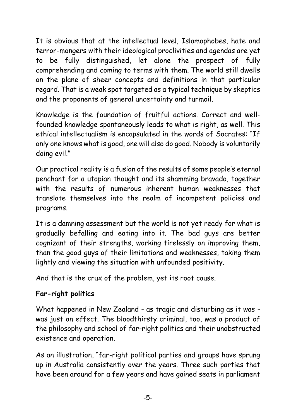It is obvious that at the intellectual level, Islamophobes, hate and terror-mongers with their ideological proclivities and agendas are yet to be fully distinguished, let alone the prospect of fully comprehending and coming to terms with them. The world still dwells on the plane of sheer concepts and definitions in that particular regard. That is a weak spot targeted as a typical technique by skeptics and the proponents of general uncertainty and turmoil.

Knowledge is the foundation of fruitful actions. Correct and wellfounded knowledge spontaneously leads to what is right, as well. This ethical intellectualism is encapsulated in the words of Socrates: "If only one knows what is good, one will also do good. Nobody is voluntarily doing evil."

Our practical reality is a fusion of the results of some people's eternal penchant for a utopian thought and its shamming bravado, together with the results of numerous inherent human weaknesses that translate themselves into the realm of incompetent policies and programs.

It is a damning assessment but the world is not yet ready for what is gradually befalling and eating into it. The bad guys are better cognizant of their strengths, working tirelessly on improving them, than the good guys of their limitations and weaknesses, taking them lightly and viewing the situation with unfounded positivity.

And that is the crux of the problem, yet its root cause.

# **Far-right politics**

What happened in New Zealand - as tragic and disturbing as it was was just an effect. The bloodthirsty criminal, too, was a product of the philosophy and school of far-right politics and their unobstructed existence and operation.

As an illustration, "far-right political parties and groups have sprung up in Australia consistently over the years. Three such parties that have been around for a few years and have gained seats in parliament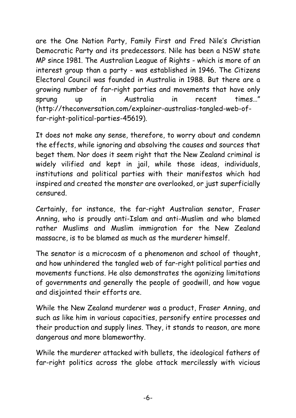are the [One Nation Party,](http://www.onenation.com.au/) [Family First](http://www.familyfirst.org.au/) and Fred Nile's [Christian](http://www.christiandemocraticparty.com.au/)  [Democratic Party](http://www.christiandemocraticparty.com.au/) and its predecessors. Nile has been a NSW state MP since 1981. The [Australian League of Rights](http://www.alor.org/) - which is more of an interest group than a party - was established in 1946. The [Citizens](http://www.cecaust.com.au/)  [Electoral Council](http://www.cecaust.com.au/) was founded in Australia in 1988. But there are a growing number of far-right parties and movements that have only sprung up in Australia in recent times…" (http://theconversation.com/explainer-australias-tangled-web-offar-right-political-parties-45619).

It does not make any sense, therefore, to worry about and condemn the effects, while ignoring and absolving the causes and sources that beget them. Nor does it seem right that the New Zealand criminal is widely vilified and kept in jail, while those ideas, individuals, institutions and political parties with their manifestos which had inspired and created the monster are overlooked, or just superficially censured.

Certainly, for instance, the far-right Australian senator, Fraser Anning, who is proudly anti-Islam and anti-Muslim and who blamed rather Muslims and Muslim immigration for the New Zealand massacre, is to be blamed as much as the murderer himself.

The senator is a microcosm of a phenomenon and school of thought, and how unhindered the tangled web of far-right political parties and movements functions. He also demonstrates the agonizing limitations of governments and generally the people of goodwill, and how vague and disjointed their efforts are.

While the New Zealand murderer was a product, Fraser Anning, and such as like him in various capacities, personify entire processes and their production and supply lines. They, it stands to reason, are more dangerous and more blameworthy.

While the murderer attacked with bullets, the ideological fathers of far-right politics across the globe attack mercilessly with vicious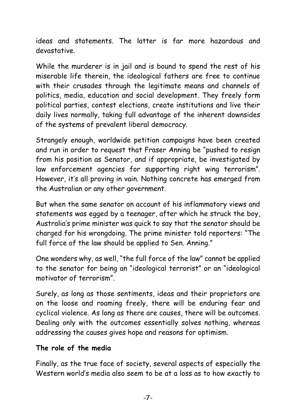ideas and statements. The latter is far more hazardous and devastative.

While the murderer is in jail and is bound to spend the rest of his miserable life therein, the ideological fathers are free to continue with their crusades through the legitimate means and channels of politics, media, education and social development. They freely form political parties, contest elections, create institutions and live their daily lives normally, taking full advantage of the inherent downsides of the systems of prevalent liberal democracy.

Strangely enough, worldwide petition campaigns have been created and run in order to request that Fraser Anning be "pushed to resign from his position as Senator, and if appropriate, be investigated by law enforcement agencies for supporting right wing terrorism". However, it's all proving in vain. Nothing concrete has emerged from the Australian or any other government.

But when the same senator on account of his inflammatory views and statements was egged by a teenager, after which he struck the boy, Australia's prime minister was quick to say that the senator should be charged for his wrongdoing. The prime minister told reporters: "The full force of the law should be applied to Sen. Anning."

One wonders why, as well, "the full force of the law" cannot be applied to the senator for being an "ideological terrorist" or an "ideological motivator of terrorism".

Surely, as long as those sentiments, ideas and their proprietors are on the loose and roaming freely, there will be enduring fear and cyclical violence. As long as there are causes, there will be outcomes. Dealing only with the outcomes essentially solves nothing, whereas addressing the causes gives hope and reasons for optimism.

### **The role of the media**

Finally, as the true face of society, several aspects of especially the Western world's media also seem to be at a loss as to how exactly to